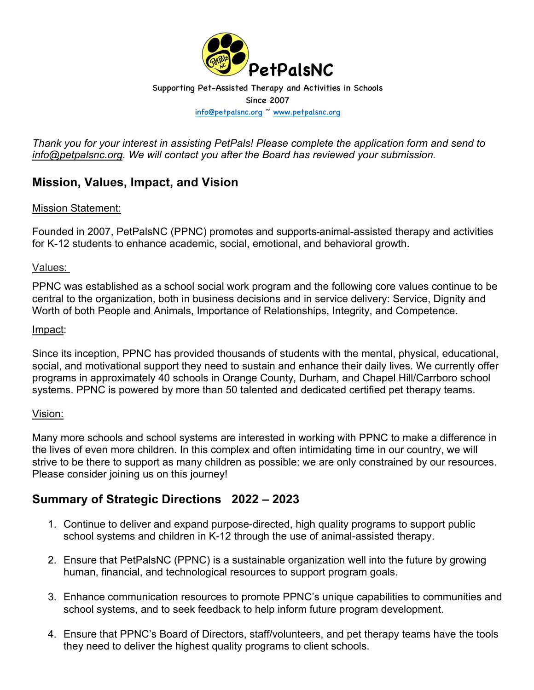

*Thank you for your interest in assisting PetPals! Please complete the application form and send to info@petpalsnc.org. We will contact you after the Board has reviewed your submission.* 

## **Mission, Values, Impact, and Vision**

### Mission Statement:

Founded in 2007, PetPalsNC (PPNC) promotes and supports animal-assisted therapy and activities for K-12 students to enhance academic, social, emotional, and behavioral growth.

#### Values:

PPNC was established as a school social work program and the following core values continue to be central to the organization, both in business decisions and in service delivery: Service, Dignity and Worth of both People and Animals, Importance of Relationships, Integrity, and Competence.

#### Impact:

Since its inception, PPNC has provided thousands of students with the mental, physical, educational, social, and motivational support they need to sustain and enhance their daily lives. We currently offer programs in approximately 40 schools in Orange County, Durham, and Chapel Hill/Carrboro school systems. PPNC is powered by more than 50 talented and dedicated certified pet therapy teams.

#### Vision:

Many more schools and school systems are interested in working with PPNC to make a difference in the lives of even more children. In this complex and often intimidating time in our country, we will strive to be there to support as many children as possible: we are only constrained by our resources. Please consider joining us on this journey!

## **Summary of Strategic Directions 2022 – 2023**

- 1. Continue to deliver and expand purpose-directed, high quality programs to support public school systems and children in K-12 through the use of animal-assisted therapy.
- 2. Ensure that PetPalsNC (PPNC) is a sustainable organization well into the future by growing human, financial, and technological resources to support program goals.
- 3. Enhance communication resources to promote PPNC's unique capabilities to communities and school systems, and to seek feedback to help inform future program development.
- 4. Ensure that PPNC's Board of Directors, staff/volunteers, and pet therapy teams have the tools they need to deliver the highest quality programs to client schools.